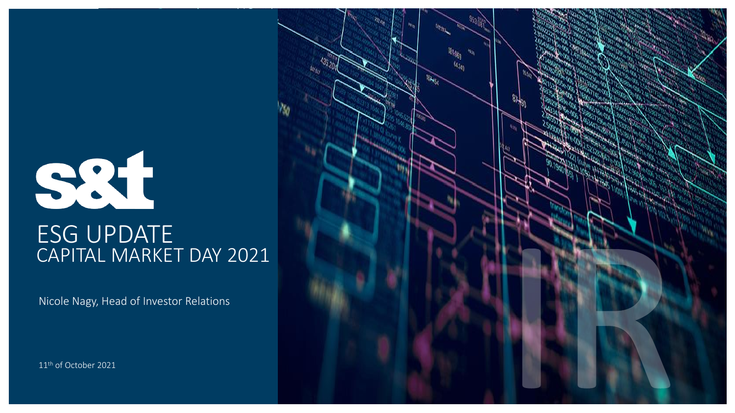

### ESG UPDATE CAPITAL MARKET DAY 2021

Nicole Nagy, Head of Investor Relations

11th of October 2021

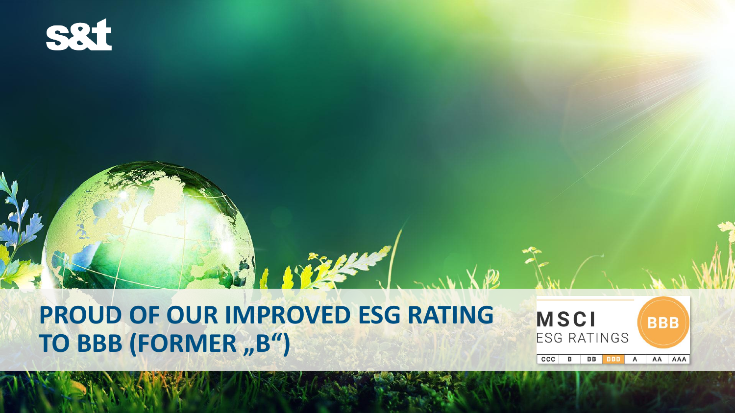# **PROUD OF OUR IMPROVED ESG RATING TO BBB (FORMER "B")**

火火



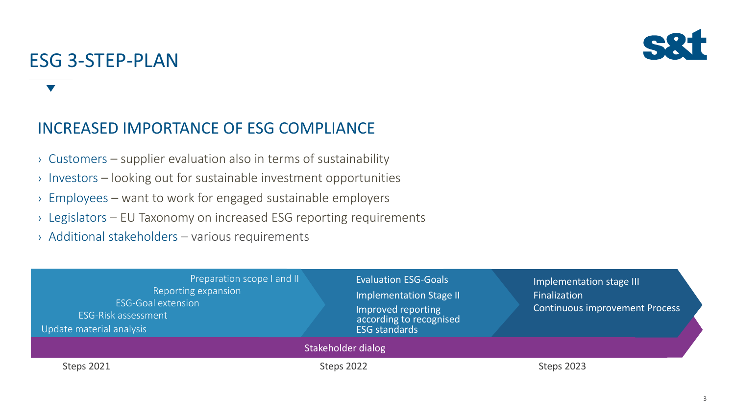### ESG 3-STEP-PLAN



### INCREASED IMPORTANCE OF ESG COMPLIANCE

- $\rightarrow$  Customers supplier evaluation also in terms of sustainability
- › Investors looking out for sustainable investment opportunities
- › Employees want to work for engaged sustainable employers
- › Legislators EU Taxonomy on increased ESG reporting requirements
- › Additional stakeholders various requirements

| Preparation scope I and II<br>Reporting expansion<br><b>ESG-Goal extension</b><br>ESG-Risk assessment<br>Update material analysis | <b>Evaluation ESG-Goals</b><br><b>Implementation Stage II</b><br>Improved reporting<br>according to recognised<br><b>ESG standards</b><br>Stakeholder dialog | Implementation stage III<br>Finalization<br><b>Continuous improvement Process</b> |
|-----------------------------------------------------------------------------------------------------------------------------------|--------------------------------------------------------------------------------------------------------------------------------------------------------------|-----------------------------------------------------------------------------------|
| Steps 2021                                                                                                                        | Steps 2022                                                                                                                                                   | Steps 2023                                                                        |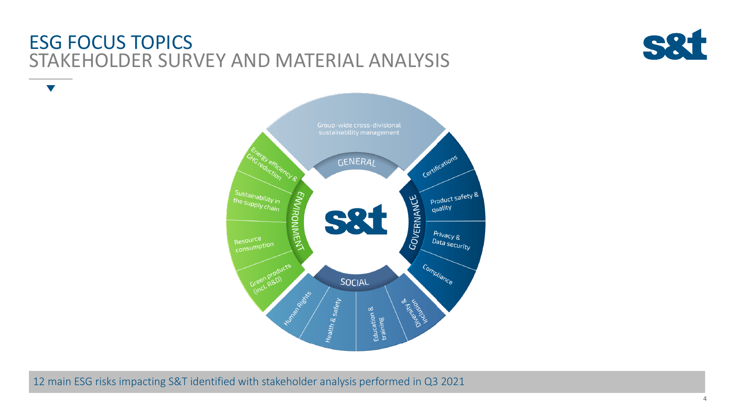### ESG FOCUS TOPICS STAKEHOLDER SURVEY AND MATERIAL ANALYSIS

 $\blacktriangledown$ 





12 main ESG risks impacting S&T identified with stakeholder analysis performed in Q3 2021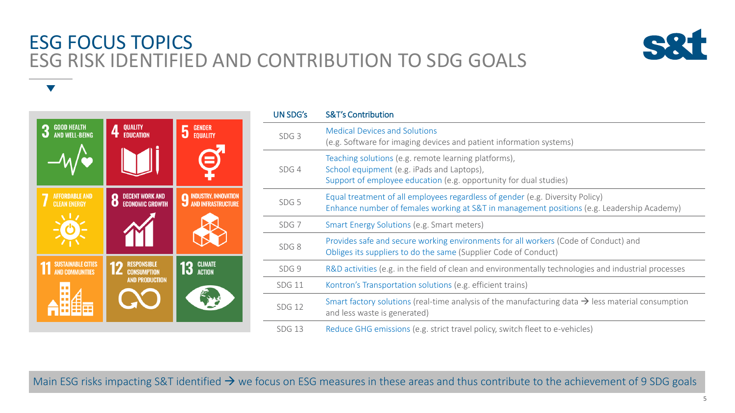### ESG FOCUS TOPICS ESG RISK IDENTIFIED AND CONTRIBUTION TO SDG GOALS



**3** GOOD HEALTH<br>**3** AND WELL-BEING  $5$  GENDER 4<sup>QUALITY</sup> **7** AFFORDABLE AND<br>CLEAN ENERGY **8** DECENT WORK AND ECONOMIC GROWTH **9 INDUSTRY, INNOVATION**<br>**4 AND INFRASTRUCTURE 13 GLIMATE** SUSTAINABLE CITIES<br>AND COMMUNITIES **12** RESPONSIBLE **AND PRODUCTION** H

 $\blacktriangledown$ 

| <b>UN SDG's</b>  | <b>S&amp;T's Contribution</b>                                                                                                                                               |
|------------------|-----------------------------------------------------------------------------------------------------------------------------------------------------------------------------|
| SDG <sub>3</sub> | <b>Medical Devices and Solutions</b><br>(e.g. Software for imaging devices and patient information systems)                                                                 |
| SDG4             | Teaching solutions (e.g. remote learning platforms),<br>School equipment (e.g. iPads and Laptops),<br>Support of employee education (e.g. opportunity for dual studies)     |
| SDG <sub>5</sub> | Equal treatment of all employees regardless of gender (e.g. Diversity Policy)<br>Enhance number of females working at S&T in management positions (e.g. Leadership Academy) |
| SDG <sub>7</sub> | Smart Energy Solutions (e.g. Smart meters)                                                                                                                                  |
| SDG8             | Provides safe and secure working environments for all workers (Code of Conduct) and<br>Obliges its suppliers to do the same (Supplier Code of Conduct)                      |
| SDG <sub>9</sub> | R&D activities (e.g. in the field of clean and environmentally technologies and industrial processes                                                                        |
| <b>SDG 11</b>    | Kontron's Transportation solutions (e.g. efficient trains)                                                                                                                  |
| <b>SDG 12</b>    | Smart factory solutions (real-time analysis of the manufacturing data $\rightarrow$ less material consumption<br>and less waste is generated)                               |
| <b>SDG 13</b>    | Reduce GHG emissions (e.g. strict travel policy, switch fleet to e-vehicles)                                                                                                |

Main ESG risks impacting S&T identified  $\rightarrow$  we focus on ESG measures in these areas and thus contribute to the achievement of 9 SDG goals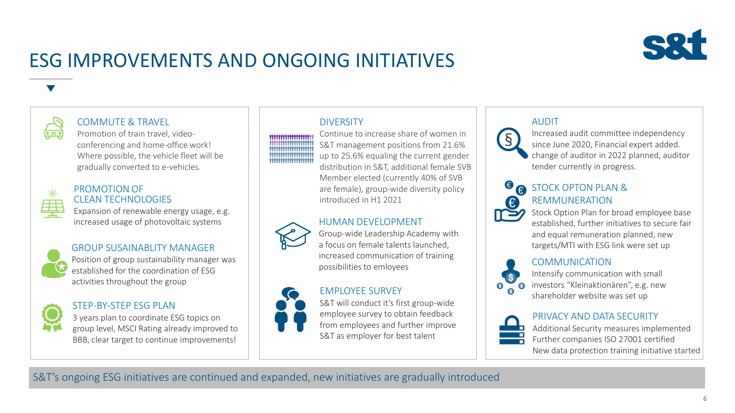

## ESG IMPROVEMENTS AND ONGOING INITIATIVES



### فصقا

COMMUTE & TRAVEL

Promotion of train travel, videoconferencing and home-office work! Where possible, the vehicle fleet will be gradually converted to e-vehicles.



#### PROMOTION OF CLEAN TECHNOLOGIES

Expansion of renewable energy usage, e.g. increased usage of photovoltaic systems



#### GROUP SUSAINABLITY MANAGER

Position of group sustainability manager was established for the coordination of ESG activities throughout the group



#### STEP-BY-STEP ESG PLAN

3 years plan to coordinate ESG topics on group level, MSCI Rating already improved to BBB, clear target to continue improvements!



#### **DIVERSITY**

#### Continue to increase share of women in S&T management positions from 21.6% up to 25.6% equaling the current gender distribution in S&T, additional female SVB Member elected (currently 40% of SVB are female), group-wide diversity policy introduced in H1 2021

#### HUMAN DEVELOPMENT



Group-wide Leadership Academy with a focus on female talents launched, increased communication of training possibilities to emloyees and the communication of training and  $\bullet$  COMMUNICATION

#### EMPLOYEE SURVEY



S&T will conduct it's first group-wide employee survey to obtain feedback from employees and further improve S&T as employer for best talent

#### AUDIT



Increased audit committee independency since June 2020, Financial expert added.

change of auditor in 2022 planned, auditor tender currently in progress.



#### STOCK OPTON PLAN & REMMUNERATION

Stock Option Plan for broad employee base established, further initiatives to secure fair and equal remuneration planned, new targets/MTI with ESG link were set up



Intensify communication with small **investors** "Kleinaktionären", e.g. new shareholder website was set up



#### PRIVACY AND DATA SECURITY

Additional Security measures implemented Further companies ISO 27001 certified New data protection training initiative started

S&T's ongoing ESG initiatives are continued and expanded, new initiatives are gradually introduced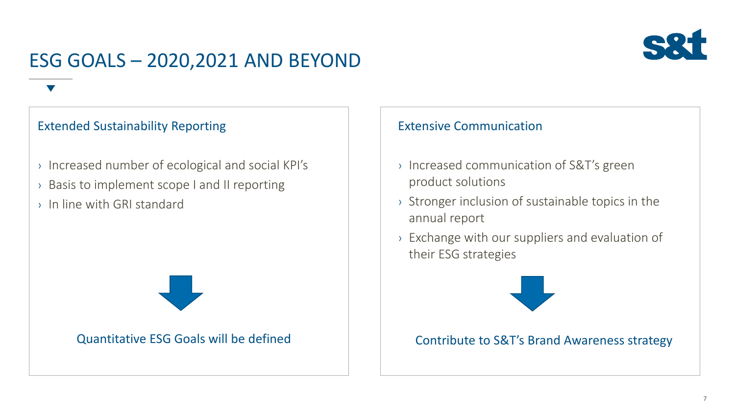

## ESG GOALS – 2020,2021 AND BEYOND

### Extended Sustainability Reporting

- › Increased number of ecological and social KPI's
- › Basis to implement scope I and II reporting
- › In line with GRI standard



#### Extensive Communication

- › Increased communication of S&T's green product solutions
- › Stronger inclusion of sustainable topics in the annual report
- › Exchange with our suppliers and evaluation of their ESG strategies



#### Quantitative ESG Goals will be defined **Contribute to S&T's Brand Awareness strategy**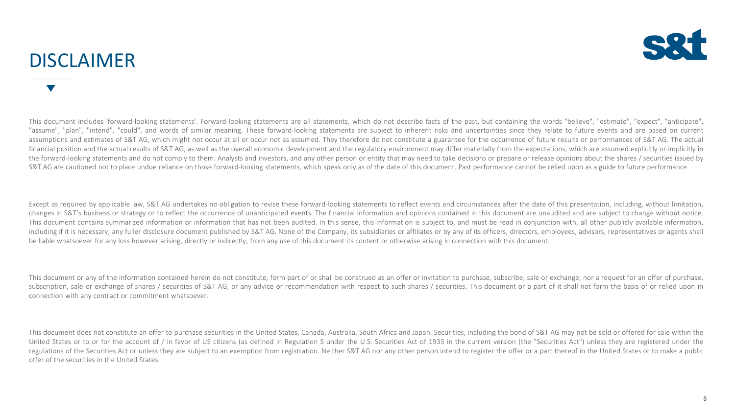### DISCLAIMER



This document includes 'forward-looking statements'. Forward-looking statements are all statements, which do not describe facts of the past, but containing the words "believe", "estimate", "expect", "anticipate", "assume", "plan", "intend", "could", and words of similar meaning. These forward-looking statements are subject to inherent risks and uncertainties since they relate to future events and are based on current assumptions and estimates of S&T AG, which might not occur at all or occur not as assumed. They therefore do not constitute a guarantee for the occurrence of future results or performances of S&T AG. The actual financial position and the actual results of S&T AG, as well as the overall economic development and the regulatory environment may differ materially from the expectations, which are assumed explicitly or implicitly in the forward-looking statements and do not comply to them. Analysts and investors, and any other person or entity that may need to take decisions or prepare or release opinions about the shares / securities issued by S&T AG are cautioned not to place undue reliance on those forward-looking statements, which speak only as of the date of this document. Past performance cannot be relied upon as a guide to future performance.

Except as required by applicable law, S&T AG undertakes no obligation to revise these forward-looking statements to reflect events and circumstances after the date of this presentation, including, without limitation, changes in S&T's business or strategy or to reflect the occurrence of unanticipated events. The financial information and opinions contained in this document are unaudited and are subject to change without notice. This document contains summarized information or information that has not been audited. In this sense, this information is subject to, and must be read in conjunction with, all other publicly available information, including if it is necessary, any fuller disclosure document published by S&T AG. None of the Company, its subsidiaries or affiliates or by any of its officers, directors, employees, advisors, representatives or agents sha be liable whatsoever for any loss however arising, directly or indirectly, from any use of this document its content or otherwise arising in connection with this document.

This document or any of the information contained herein do not constitute, form part of or shall be construed as an offer or invitation to purchase, subscribe, sale or exchange, nor a request for an offer of purchase, subscription, sale or exchange of shares / securities of S&T AG, or any advice or recommendation with respect to such shares / securities. This document or a part of it shall not form the basis of or relied upon in connection with any contract or commitment whatsoever.

This document does not constitute an offer to purchase securities in the United States, Canada, Australia, South Africa and Japan. Securities, including the bond of S&T AG may not be sold or offered for sale within the United States or to or for the account of / in favor of US citizens (as defined in Regulation S under the U.S. Securities Act of 1933 in the current version (the "Securities Act") unless they are registered under the regulations of the Securities Act or unless they are subject to an exemption from registration. Neither S&T AG nor any other person intend to register the offer or a part thereof in the United States or to make a public offer of the securities in the United States.